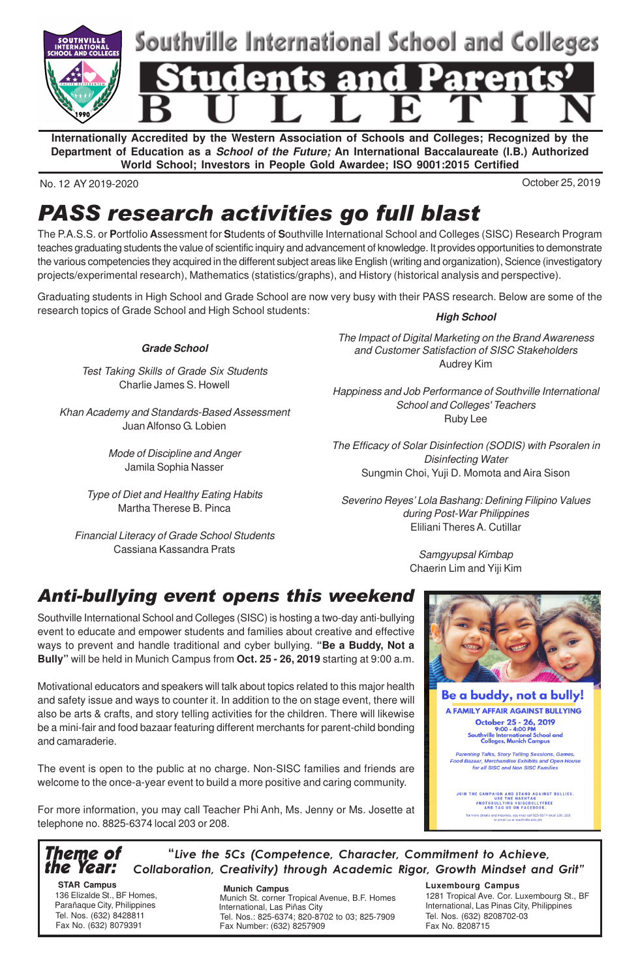

**Internationally Accredited by the Western Association of Schools and Colleges; Recognized by the Department of Education as a School of the Future; An International Baccalaureate (I.B.) Authorized World School; Investors in People Gold Awardee; ISO 9001:2015 Certified**

No. 12 AY 2019-2020 October 25, 2019

## PASS research activities go full blast

The P.A.S.S. or **P**ortfolio **A**ssessment for **S**tudents of **S**outhville International School and Colleges (SISC) Research Program teaches graduating students the value of scientific inquiry and advancement of knowledge. It provides opportunities to demonstrate the various competencies they acquired in the different subject areas like English (writing and organization), Science (investigatory projects/experimental research), Mathematics (statistics/graphs), and History (historical analysis and perspective).

Graduating students in High School and Grade School are now very busy with their PASS research. Below are some of the research topics of Grade School and High School students:

**Grade School**

Test Taking Skills of Grade Six Students Charlie James S. Howell

Khan Academy and Standards-Based Assessment Juan Alfonso G. Lobien

> Mode of Discipline and Anger Jamila Sophia Nasser

Type of Diet and Healthy Eating Habits Martha Therese B. Pinca

Financial Literacy of Grade School Students Cassiana Kassandra Prats

**High School**

The Impact of Digital Marketing on the Brand Awareness and Customer Satisfaction of SISC Stakeholders Audrey Kim

Happiness and Job Performance of Southville International School and Colleges' Teachers Ruby Lee

The Efficacy of Solar Disinfection (SODIS) with Psoralen in Disinfecting Water Sungmin Choi, Yuji D. Momota and Aira Sison

Severino Reyes' Lola Bashang: Defining Filipino Values during Post-War Philippines Eliliani Theres A. Cutillar

> Samgyupsal Kimbap Chaerin Lim and Yiji Kim

### Anti-bullying event opens this weekend

Southville International School and Colleges (SISC) is hosting a two-day anti-bullying event to educate and empower students and families about creative and effective ways to prevent and handle traditional and cyber bullying. **"Be a Buddy, Not a Bully"** will be held in Munich Campus from **Oct. 25 - 26, 2019** starting at 9:00 a.m.

Motivational educators and speakers will talk about topics related to this major health and safety issue and ways to counter it. In addition to the on stage event, there will also be arts & crafts, and story telling activities for the children. There will likewise be a mini-fair and food bazaar featuring different merchants for parent-child bonding and camaraderie.

The event is open to the public at no charge. Non-SISC families and friends are welcome to the once-a-year event to build a more positive and caring community.

For more information, you may call Teacher Phi Anh, Ms. Jenny or Ms. Josette at telephone no. 8825-6374 local 203 or 208.

Theme of the Year: "Live the 5Cs (Competence, Character, Commitment to Achieve, Collaboration, Creativity) through Academic Rigor, Growth Mindset and Grit"

 **STAR Campus** 136 Elizalde St., BF Homes, Parañaque City, Philippines Tel. Nos. (632) 8428811 Fax No. (632) 8079391

 **Munich Campus** Munich St. corner Tropical Avenue, B.F. Homes International, Las Piñas City Tel. Nos.: 825-6374; 820-8702 to 03; 825-7909 Fax Number: (632) 8257909

JOIN THE CAMPAIGN AND STAND AGAINST BULLIES.<br>FROTOBULLYING #SISCBULLYFREE#<br>AND TAG US ON FACEBOOK.

1281 Tropical Ave. Cor. Luxembourg St., BF International, Las Pinas City, Philippines

**Luxembourg Campus**

Tel. Nos. (632) 8208702-03

Fax No. 8208715

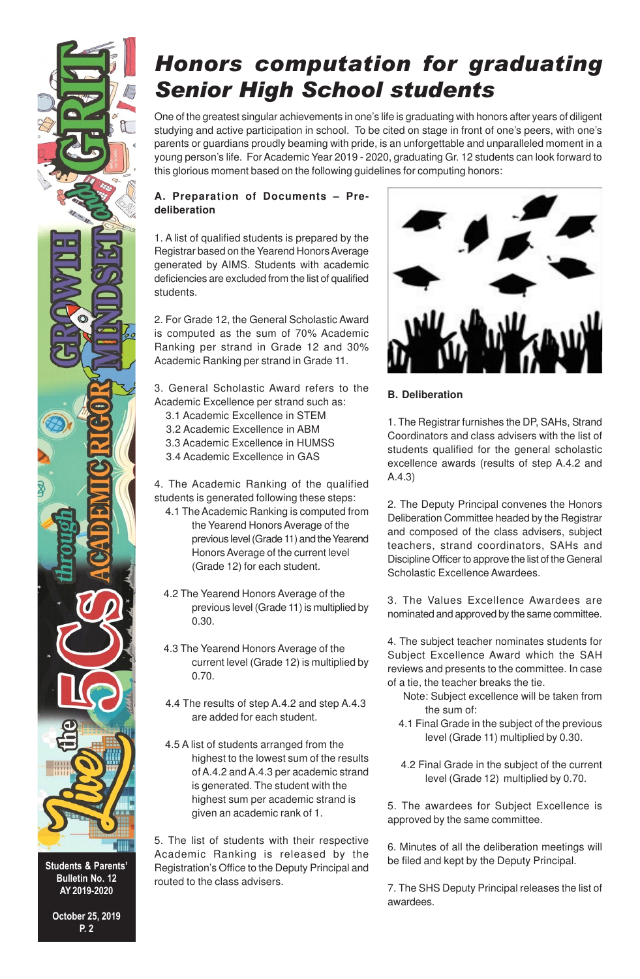## Honors computation for graduating Senior High School students

One of the greatest singular achievements in one's life is graduating with honors after years of diligent studying and active participation in school. To be cited on stage in front of one's peers, with one's parents or guardians proudly beaming with pride, is an unforgettable and unparalleled moment in a young person's life. For Academic Year 2019 - 2020, graduating Gr. 12 students can look forward to this glorious moment based on the following guidelines for computing honors:

#### **A. Preparation of Documents – Predeliberation**

1. A list of qualified students is prepared by the Registrar based on the Yearend Honors Average generated by AIMS. Students with academic deficiencies are excluded from the list of qualified students.

2. For Grade 12, the General Scholastic Award is computed as the sum of 70% Academic Ranking per strand in Grade 12 and 30% Academic Ranking per strand in Grade 11.

3. General Scholastic Award refers to the Academic Excellence per strand such as:

- 3.1 Academic Excellence in STEM
- 3.2 Academic Excellence in ABM
- 3.3 Academic Excellence in HUMSS
- 3.4 Academic Excellence in GAS

4. The Academic Ranking of the qualified students is generated following these steps:

- 4.1 The Academic Ranking is computed from the Yearend Honors Average of the previous level (Grade 11) and the Yearend Honors Average of the current level (Grade 12) for each student.
- 4.2 The Yearend Honors Average of the previous level (Grade 11) is multiplied by 0.30.
- 4.3 The Yearend Honors Average of the current level (Grade 12) is multiplied by 0.70.
- 4.4 The results of step A.4.2 and step A.4.3 are added for each student.
- 4.5 A list of students arranged from the highest to the lowest sum of the results of A.4.2 and A.4.3 per academic strand is generated. The student with the highest sum per academic strand is given an academic rank of 1.

5. The list of students with their respective Academic Ranking is released by the Registration's Office to the Deputy Principal and routed to the class advisers.



#### **B. Deliberation**

1. The Registrar furnishes the DP, SAHs, Strand Coordinators and class advisers with the list of students qualified for the general scholastic excellence awards (results of step A.4.2 and A.4.3)

2. The Deputy Principal convenes the Honors Deliberation Committee headed by the Registrar and composed of the class advisers, subject teachers, strand coordinators, SAHs and Discipline Officer to approve the list of the General Scholastic Excellence Awardees.

3. The Values Excellence Awardees are nominated and approved by the same committee.

4. The subject teacher nominates students for Subject Excellence Award which the SAH reviews and presents to the committee. In case of a tie, the teacher breaks the tie.

- Note: Subject excellence will be taken from the sum of:
- 4.1 Final Grade in the subject of the previous level (Grade 11) multiplied by 0.30.
- 4.2 Final Grade in the subject of the current level (Grade 12) multiplied by 0.70.

5. The awardees for Subject Excellence is approved by the same committee.

6. Minutes of all the deliberation meetings will be filed and kept by the Deputy Principal.

7. The SHS Deputy Principal releases the list of awardees.

Bulletin No. 12 AY 2019-2020

Students & Parents'

October 25, 2019 P. 2